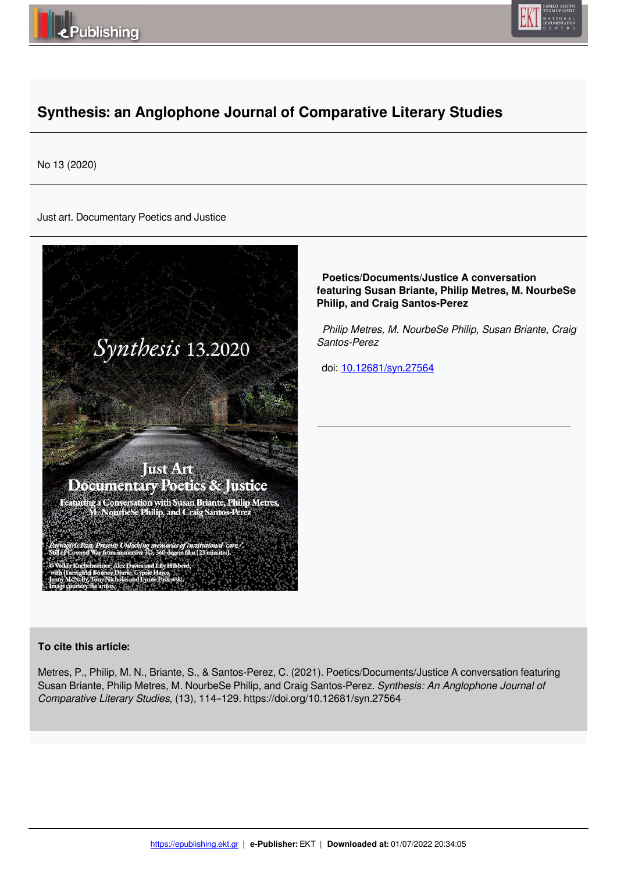



# **Synthesis: an Anglophone Journal of Comparative Literary Studies**

No 13 (2020)

Just art. Documentary Poetics and Justice



 **Poetics/Documents/Justice A conversation featuring Susan Briante, Philip Metres, M. NourbeSe Philip, and Craig Santos-Perez**

 *Philip Metres, M. NourbeSe Philip, Susan Briante, Craig Santos-Perez* 

doi: 10.12681/syn.27564

# **To cite this article:**

Metres, P., Philip, M. N., Briante, S., & Santos-Perez, C. (2021). Poetics/Documents/Justice A conversation featuring Susan Briante, Philip Metres, M. NourbeSe Philip, and Craig Santos-Perez. *Synthesis: An Anglophone Journal of Comparative Literary Studies*, (13), 114–129. https://doi.org/10.12681/syn.27564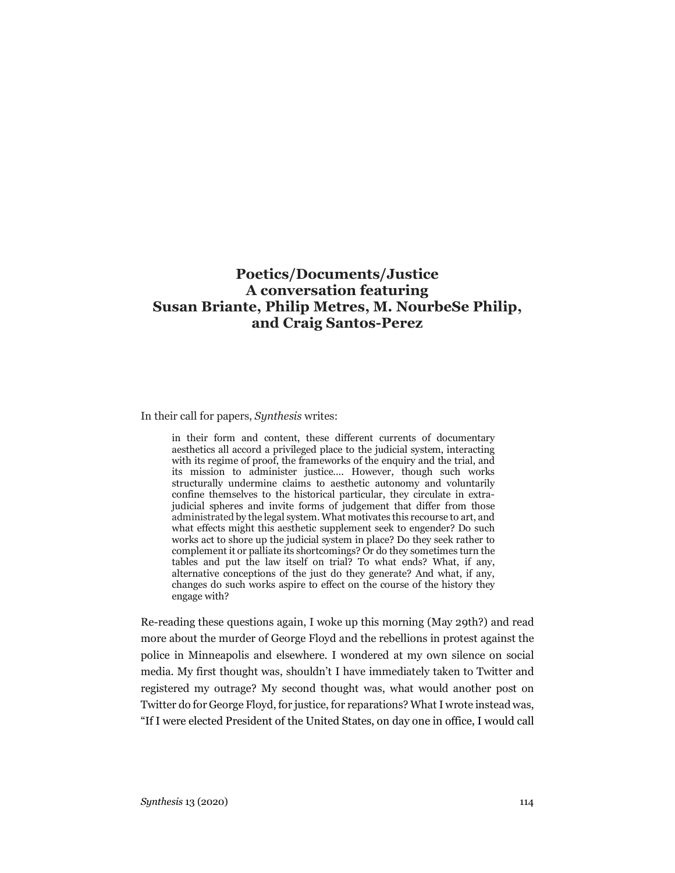# **Poetics/Documents/Justice A conversation featuring Susan Briante, Philip Metres, M. NourbeSe Philip, and Craig Santos-Perez**

In their call for papers, *Synthesis* writes:

in their form and content, these different currents of documentary aesthetics all accord a privileged place to the judicial system, interacting with its regime of proof, the frameworks of the enquiry and the trial, and its mission to administer justice…. However, though such works structurally undermine claims to aesthetic autonomy and voluntarily confine themselves to the historical particular, they circulate in extrajudicial spheres and invite forms of judgement that differ from those administrated by the legal system. What motivates this recourse to art, and what effects might this aesthetic supplement seek to engender? Do such works act to shore up the judicial system in place? Do they seek rather to complement it or palliate its shortcomings? Or do they sometimes turn the tables and put the law itself on trial? To what ends? What, if any, alternative conceptions of the just do they generate? And what, if any, changes do such works aspire to effect on the course of the history they engage with?

Re-reading these questions again, I woke up this morning (May 29th?) and read more about the murder of George Floyd and the rebellions in protest against the police in Minneapolis and elsewhere. I wondered at my own silence on social media. My first thought was, shouldn't I have immediately taken to Twitter and registered my outrage? My second thought was, what would another post on Twitter do for George Floyd, for justice, for reparations? What I wrote instead was, "If I were elected President of the United States, on day one in office, I would call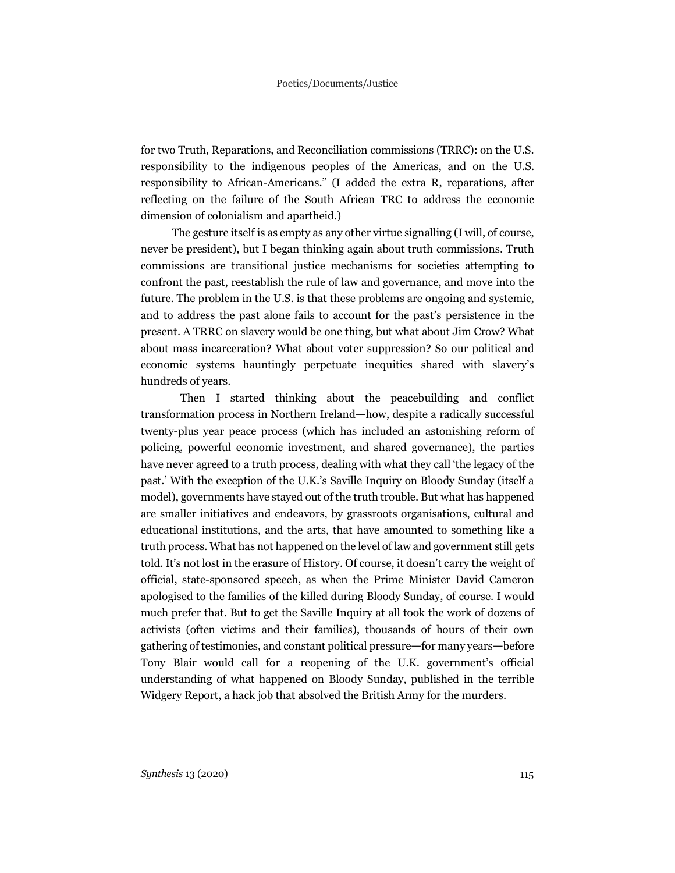for two Truth, Reparations, and Reconciliation commissions (TRRC): on the U.S. responsibility to the indigenous peoples of the Americas, and on the U.S. responsibility to African-Americans." (I added the extra R, reparations, after reflecting on the failure of the South African TRC to address the economic dimension of colonialism and apartheid.)

The gesture itself is as empty as any other virtue signalling (I will, of course, never be president), but I began thinking again about truth commissions. Truth commissions are transitional justice mechanisms for societies attempting to confront the past, reestablish the rule of law and governance, and move into the future. The problem in the U.S. is that these problems are ongoing and systemic, and to address the past alone fails to account for the past's persistence in the present. A TRRC on slavery would be one thing, but what about Jim Crow? What about mass incarceration? What about voter suppression? So our political and economic systems hauntingly perpetuate inequities shared with slavery's hundreds of years.

Then I started thinking about the peacebuilding and conflict transformation process in Northern Ireland—how, despite a radically successful twenty-plus year peace process (which has included an astonishing reform of policing, powerful economic investment, and shared governance), the parties have never agreed to a truth process, dealing with what they call 'the legacy of the past.' With the exception of the U.K.'s Saville Inquiry on Bloody Sunday (itself a model), governments have stayed out of the truth trouble. But what has happened are smaller initiatives and endeavors, by grassroots organisations, cultural and educational institutions, and the arts, that have amounted to something like a truth process. What has not happened on the level of law and government still gets told. It's not lost in the erasure of History. Of course, it doesn't carry the weight of official, state-sponsored speech, as when the Prime Minister David Cameron apologised to the families of the killed during Bloody Sunday, of course. I would much prefer that. But to get the Saville Inquiry at all took the work of dozens of activists (often victims and their families), thousands of hours of their own gathering of testimonies, and constant political pressure—for many years—before Tony Blair would call for a reopening of the U.K. government's official understanding of what happened on Bloody Sunday, published in the terrible Widgery Report, a hack job that absolved the British Army for the murders.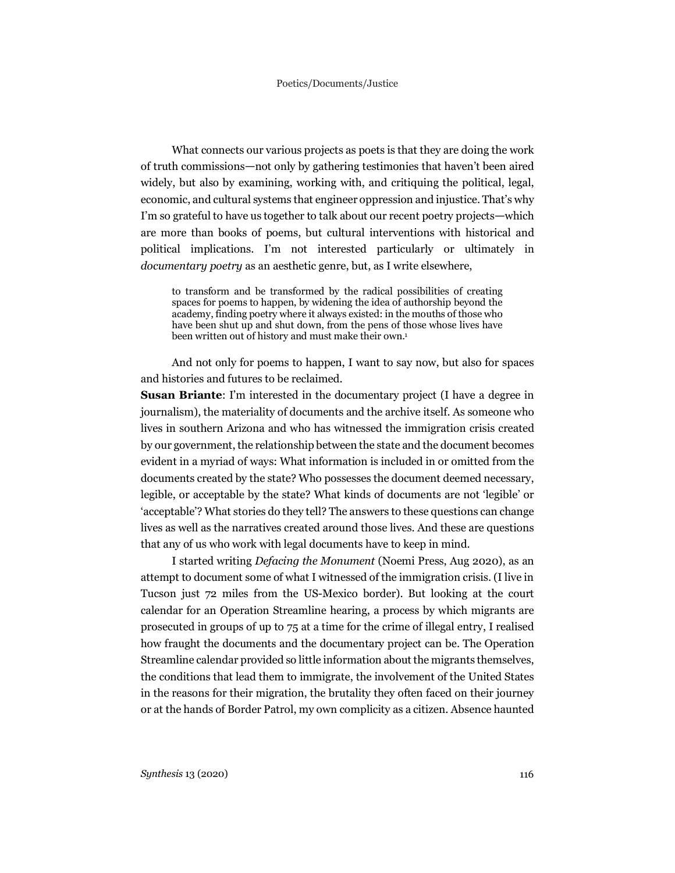What connects our various projects as poets is that they are doing the work of truth commissions—not only by gathering testimonies that haven't been aired widely, but also by examining, working with, and critiquing the political, legal, economic, and cultural systems that engineer oppression and injustice. That's why I'm so grateful to have us together to talk about our recent poetry projects—which are more than books of poems, but cultural interventions with historical and political implications. I'm not interested particularly or ultimately in *documentary poetry* as an aesthetic genre, but, as I write elsewhere,

to transform and be transformed by the radical possibilities of creating spaces for poems to happen, by widening the idea of authorship beyond the academy, finding poetry where it always existed: in the mouths of those who have been shut up and shut down, from the pens of those whose lives have been written out of history and must make their own.<sup>1</sup>

And not only for poems to happen, I want to say now, but also for spaces and histories and futures to be reclaimed.

**Susan Briante:** I'm interested in the documentary project (I have a degree in journalism), the materiality of documents and the archive itself. As someone who lives in southern Arizona and who has witnessed the immigration crisis created by our government, the relationship between the state and the document becomes evident in a myriad of ways: What information is included in or omitted from the documents created by the state? Who possesses the document deemed necessary, legible, or acceptable by the state? What kinds of documents are not 'legible' or 'acceptable'? What stories do they tell? The answers to these questions can change lives as well as the narratives created around those lives. And these are questions that any of us who work with legal documents have to keep in mind.

I started writing *Defacing the Monument* (Noemi Press, Aug 2020), as an attempt to document some of what I witnessed of the immigration crisis. (I live in Tucson just 72 miles from the US-Mexico border). But looking at the court calendar for an Operation Streamline hearing, a process by which migrants are prosecuted in groups of up to 75 at a time for the crime of illegal entry, I realised how fraught the documents and the documentary project can be. The Operation Streamline calendar provided so little information about the migrants themselves, the conditions that lead them to immigrate, the involvement of the United States in the reasons for their migration, the brutality they often faced on their journey or at the hands of Border Patrol, my own complicity as a citizen. Absence haunted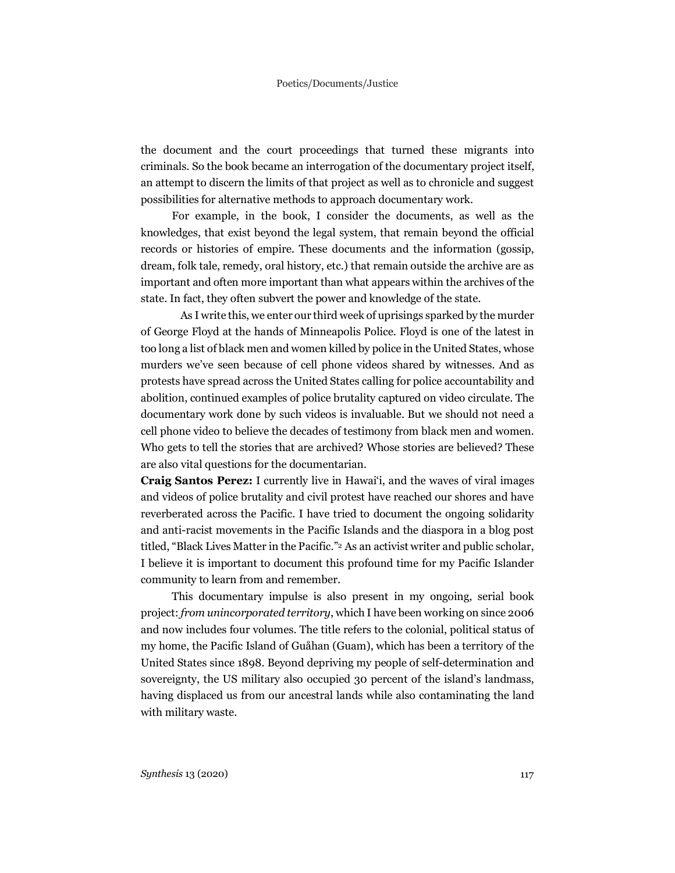the document and the court proceedings that turned these migrants into criminals. So the book became an interrogation of the documentary project itself, an attempt to discern the limits of that project as well as to chronicle and suggest possibilities for alternative methods to approach documentary work.

For example, in the book, I consider the documents, as well as the knowledges, that exist beyond the legal system, that remain beyond the official records or histories of empire. These documents and the information (gossip, dream, folk tale, remedy, oral history, etc.) that remain outside the archive are as important and often more important than what appears within the archives of the state. In fact, they often subvert the power and knowledge of the state.

As I write this, we enter our third week of uprisings sparked by the murder of George Floyd at the hands of Minneapolis Police. Floyd is one of the latest in too long a list of black men and women killed by police in the United States, whose murders we've seen because of cell phone videos shared by witnesses. And as protests have spread across the United States calling for police accountability and abolition, continued examples of police brutality captured on video circulate. The documentary work done by such videos is invaluable. But we should not need a cell phone video to believe the decades of testimony from black men and women. Who gets to tell the stories that are archived? Whose stories are believed? These are also vital questions for the documentarian.

**Craig Santos Perez:** I currently live in Hawaiʻi, and the waves of viral images and videos of police brutality and civil protest have reached our shores and have reverberated across the Pacific. I have tried to document the ongoing solidarity and anti-racist movements in the Pacific Islands and the diaspora in a blog post titled, "Black Lives Matter in the Pacific."2 As an activist writer and public scholar, I believe it is important to document this profound time for my Pacific Islander community to learn from and remember.

This documentary impulse is also present in my ongoing, serial book project: *from unincorporated territory*, which I have been working on since 2006 and now includes four volumes. The title refers to the colonial, political status of my home, the Pacific Island of Guåhan (Guam), which has been a territory of the United States since 1898. Beyond depriving my people of self-determination and sovereignty, the US military also occupied 30 percent of the island's landmass, having displaced us from our ancestral lands while also contaminating the land with military waste.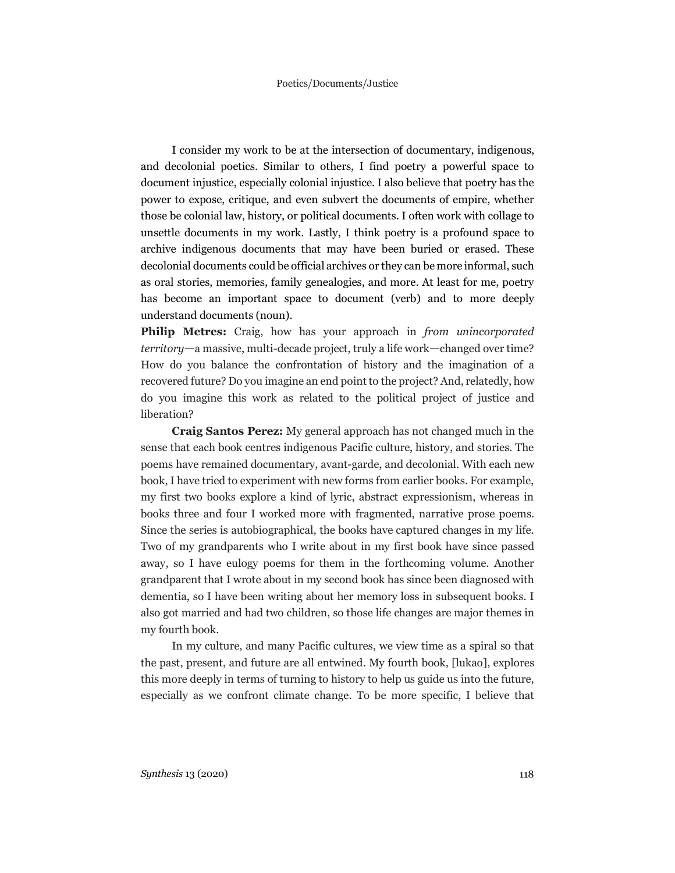I consider my work to be at the intersection of documentary, indigenous, and decolonial poetics. Similar to others, I find poetry a powerful space to document injustice, especially colonial injustice. I also believe that poetry has the power to expose, critique, and even subvert the documents of empire, whether those be colonial law, history, or political documents. I often work with collage to unsettle documents in my work. Lastly, I think poetry is a profound space to archive indigenous documents that may have been buried or erased. These decolonial documents could be official archives or they can be more informal, such as oral stories, memories, family genealogies, and more. At least for me, poetry has become an important space to document (verb) and to more deeply understand documents (noun).

**Philip Metres:** Craig, how has your approach in *from unincorporated territory*—a massive, multi-decade project, truly a life work—changed over time? How do you balance the confrontation of history and the imagination of a recovered future? Do you imagine an end point to the project? And, relatedly, how do you imagine this work as related to the political project of justice and liberation?

**Craig Santos Perez:** My general approach has not changed much in the sense that each book centres indigenous Pacific culture, history, and stories. The poems have remained documentary, avant-garde, and decolonial. With each new book, I have tried to experiment with new forms from earlier books. For example, my first two books explore a kind of lyric, abstract expressionism, whereas in books three and four I worked more with fragmented, narrative prose poems. Since the series is autobiographical, the books have captured changes in my life. Two of my grandparents who I write about in my first book have since passed away, so I have eulogy poems for them in the forthcoming volume. Another grandparent that I wrote about in my second book has since been diagnosed with dementia, so I have been writing about her memory loss in subsequent books. I also got married and had two children, so those life changes are major themes in my fourth book.

In my culture, and many Pacific cultures, we view time as a spiral so that the past, present, and future are all entwined. My fourth book, [lukao], explores this more deeply in terms of turning to history to help us guide us into the future, especially as we confront climate change. To be more specific, I believe that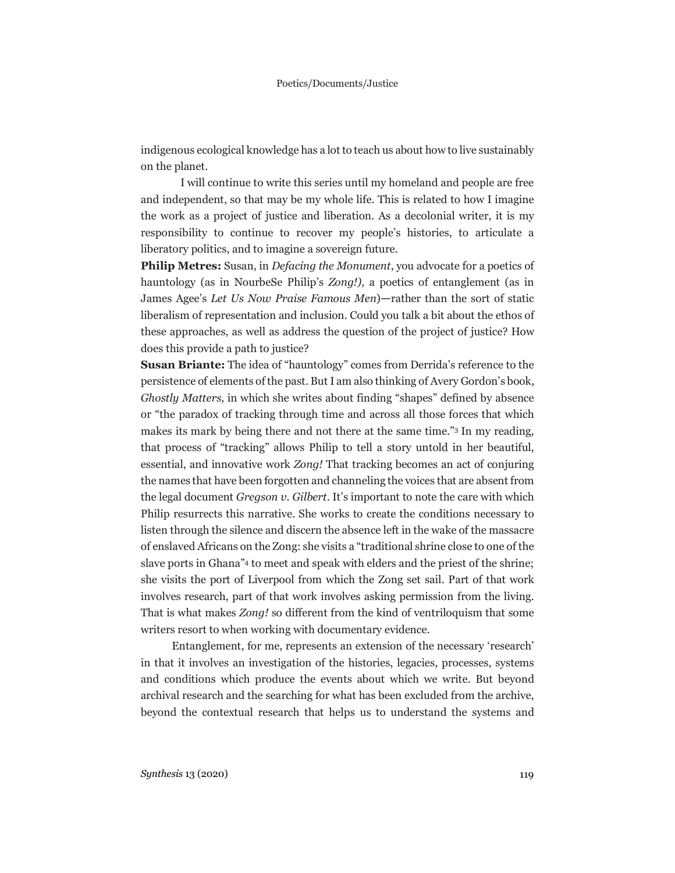indigenous ecological knowledge has a lot to teach us about how to live sustainably on the planet.

I will continue to write this series until my homeland and people are free and independent, so that may be my whole life. This is related to how I imagine the work as a project of justice and liberation. As a decolonial writer, it is my responsibility to continue to recover my people's histories, to articulate a liberatory politics, and to imagine a sovereign future.

**Philip Metres:** Susan, in *Defacing the Monument*, you advocate for a poetics of hauntology (as in NourbeSe Philip's *Zong!),* a poetics of entanglement (as in James Agee's *Let Us Now Praise Famous Men*)—rather than the sort of static liberalism of representation and inclusion. Could you talk a bit about the ethos of these approaches, as well as address the question of the project of justice? How does this provide a path to justice?

**Susan Briante:** The idea of "hauntology" comes from Derrida's reference to the persistence of elements of the past. But I am also thinking of Avery Gordon's book, *Ghostly Matters,* in which she writes about finding "shapes" defined by absence or "the paradox of tracking through time and across all those forces that which makes its mark by being there and not there at the same time."3 In my reading, that process of "tracking" allows Philip to tell a story untold in her beautiful, essential, and innovative work *Zong!* That tracking becomes an act of conjuring the names that have been forgotten and channeling the voices that are absent from the legal document *Gregson v. Gilbert*. It's important to note the care with which Philip resurrects this narrative. She works to create the conditions necessary to listen through the silence and discern the absence left in the wake of the massacre of enslaved Africans on the Zong: she visits a "traditional shrine close to one of the slave ports in Ghana"4 to meet and speak with elders and the priest of the shrine; she visits the port of Liverpool from which the Zong set sail. Part of that work involves research, part of that work involves asking permission from the living. That is what makes *Zong!* so different from the kind of ventriloquism that some writers resort to when working with documentary evidence.

Entanglement, for me, represents an extension of the necessary 'research' in that it involves an investigation of the histories, legacies, processes, systems and conditions which produce the events about which we write. But beyond archival research and the searching for what has been excluded from the archive, beyond the contextual research that helps us to understand the systems and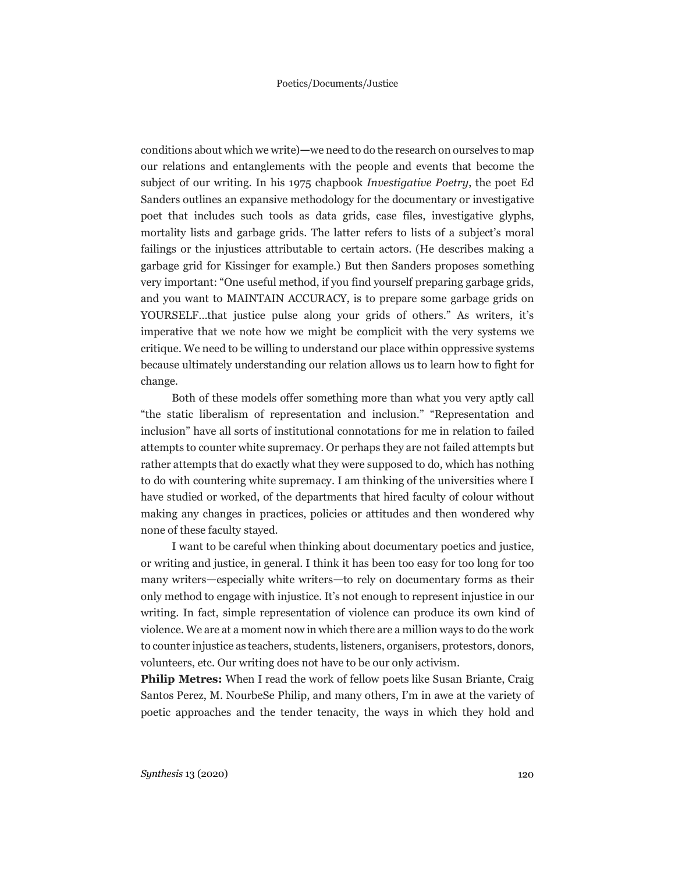conditions about which we write)—we need to do the research on ourselves to map our relations and entanglements with the people and events that become the subject of our writing. In his 1975 chapbook *Investigative Poetry*, the poet Ed Sanders outlines an expansive methodology for the documentary or investigative poet that includes such tools as data grids, case files, investigative glyphs, mortality lists and garbage grids. The latter refers to lists of a subject's moral failings or the injustices attributable to certain actors. (He describes making a garbage grid for Kissinger for example.) But then Sanders proposes something very important: "One useful method, if you find yourself preparing garbage grids, and you want to MAINTAIN ACCURACY, is to prepare some garbage grids on YOURSELF…that justice pulse along your grids of others." As writers, it's imperative that we note how we might be complicit with the very systems we critique. We need to be willing to understand our place within oppressive systems because ultimately understanding our relation allows us to learn how to fight for change.

Both of these models offer something more than what you very aptly call "the static liberalism of representation and inclusion." "Representation and inclusion" have all sorts of institutional connotations for me in relation to failed attempts to counter white supremacy. Or perhaps they are not failed attempts but rather attempts that do exactly what they were supposed to do, which has nothing to do with countering white supremacy. I am thinking of the universities where I have studied or worked, of the departments that hired faculty of colour without making any changes in practices, policies or attitudes and then wondered why none of these faculty stayed.

I want to be careful when thinking about documentary poetics and justice, or writing and justice, in general. I think it has been too easy for too long for too many writers—especially white writers—to rely on documentary forms as their only method to engage with injustice. It's not enough to represent injustice in our writing. In fact, simple representation of violence can produce its own kind of violence. We are at a moment now in which there are a million ways to do the work to counter injustice as teachers, students, listeners, organisers, protestors, donors, volunteers, etc. Our writing does not have to be our only activism.

**Philip Metres:** When I read the work of fellow poets like Susan Briante, Craig Santos Perez, M. NourbeSe Philip, and many others, I'm in awe at the variety of poetic approaches and the tender tenacity, the ways in which they hold and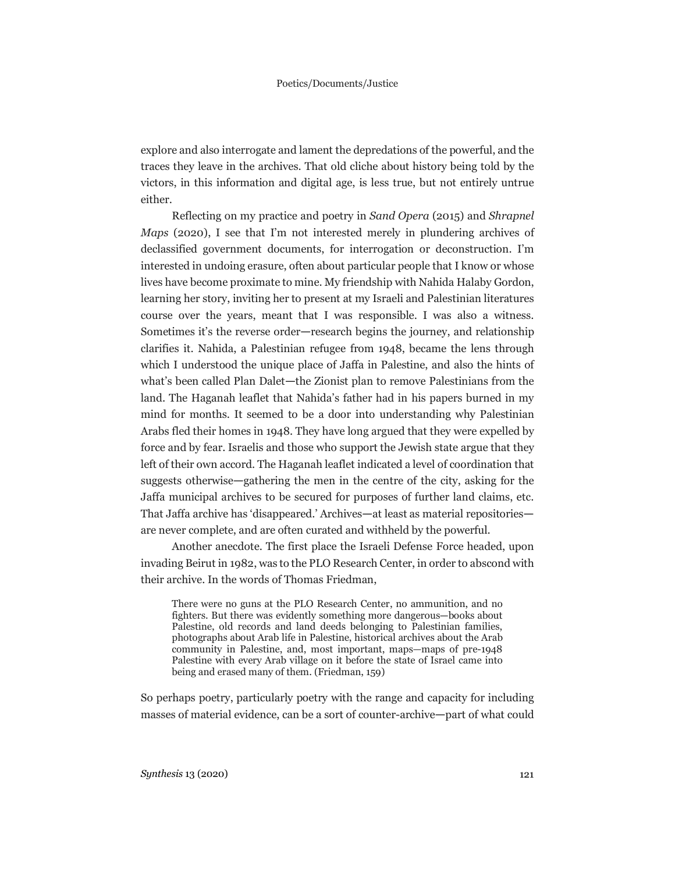explore and also interrogate and lament the depredations of the powerful, and the traces they leave in the archives. That old cliche about history being told by the victors, in this information and digital age, is less true, but not entirely untrue either.

Reflecting on my practice and poetry in *Sand Opera* (2015) and *Shrapnel Maps* (2020), I see that I'm not interested merely in plundering archives of declassified government documents, for interrogation or deconstruction. I'm interested in undoing erasure, often about particular people that I know or whose lives have become proximate to mine. My friendship with Nahida Halaby Gordon, learning her story, inviting her to present at my Israeli and Palestinian literatures course over the years, meant that I was responsible. I was also a witness. Sometimes it's the reverse order—research begins the journey, and relationship clarifies it. Nahida, a Palestinian refugee from 1948, became the lens through which I understood the unique place of Jaffa in Palestine, and also the hints of what's been called Plan Dalet—the Zionist plan to remove Palestinians from the land. The Haganah leaflet that Nahida's father had in his papers burned in my mind for months. It seemed to be a door into understanding why Palestinian Arabs fled their homes in 1948. They have long argued that they were expelled by force and by fear. Israelis and those who support the Jewish state argue that they left of their own accord. The Haganah leaflet indicated a level of coordination that suggests otherwise—gathering the men in the centre of the city, asking for the Jaffa municipal archives to be secured for purposes of further land claims, etc. That Jaffa archive has 'disappeared.' Archives—at least as material repositories are never complete, and are often curated and withheld by the powerful.

Another anecdote. The first place the Israeli Defense Force headed, upon invading Beirut in 1982, was to the PLO Research Center, in order to abscond with their archive. In the words of Thomas Friedman,

There were no guns at the PLO Research Center, no ammunition, and no fighters. But there was evidently something more dangerous—books about Palestine, old records and land deeds belonging to Palestinian families, photographs about Arab life in Palestine, historical archives about the Arab community in Palestine, and, most important, maps—maps of pre-1948 Palestine with every Arab village on it before the state of Israel came into being and erased many of them. (Friedman, 159)

So perhaps poetry, particularly poetry with the range and capacity for including masses of material evidence, can be a sort of counter-archive—part of what could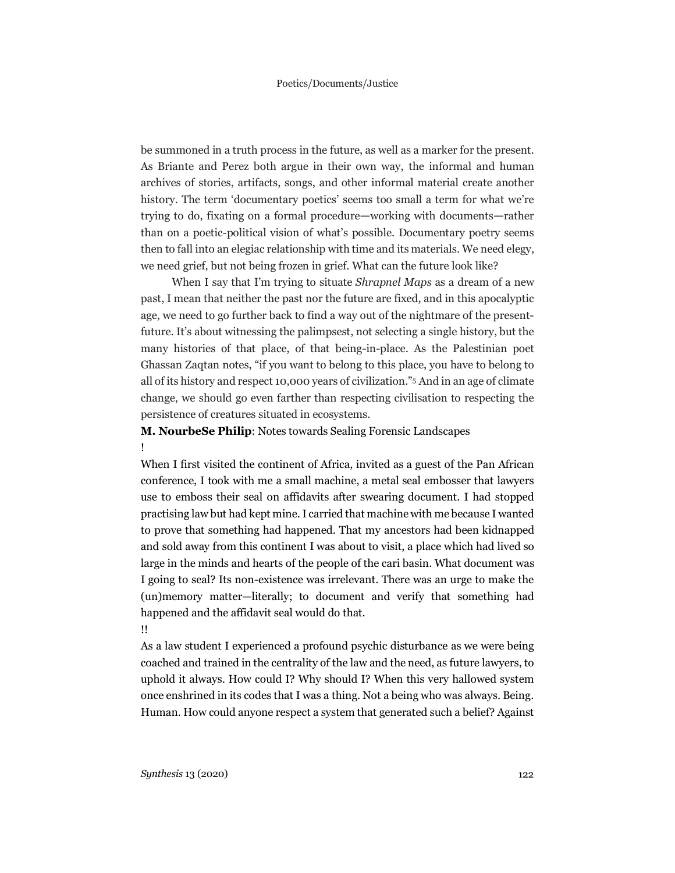be summoned in a truth process in the future, as well as a marker for the present. As Briante and Perez both argue in their own way, the informal and human archives of stories, artifacts, songs, and other informal material create another history. The term 'documentary poetics' seems too small a term for what we're trying to do, fixating on a formal procedure—working with documents—rather than on a poetic-political vision of what's possible. Documentary poetry seems then to fall into an elegiac relationship with time and its materials. We need elegy, we need grief, but not being frozen in grief. What can the future look like?

When I say that I'm trying to situate *Shrapnel Maps* as a dream of a new past, I mean that neither the past nor the future are fixed, and in this apocalyptic age, we need to go further back to find a way out of the nightmare of the presentfuture. It's about witnessing the palimpsest, not selecting a single history, but the many histories of that place, of that being-in-place. As the Palestinian poet Ghassan Zaqtan notes, "if you want to belong to this place, you have to belong to all of its history and respect 10,000 years of civilization."5 And in an age of climate change, we should go even farther than respecting civilisation to respecting the persistence of creatures situated in ecosystems.

## **M. NourbeSe Philip**: Notes towards Sealing Forensic Landscapes !

When I first visited the continent of Africa, invited as a guest of the Pan African conference, I took with me a small machine, a metal seal embosser that lawyers use to emboss their seal on affidavits after swearing document. I had stopped practising law but had kept mine.I carried that machine with me because I wanted to prove that something had happened. That my ancestors had been kidnapped and sold away from this continent I was about to visit, a place which had lived so large in the minds and hearts of the people of the cari basin. What document was I going to seal? Its non-existence was irrelevant. There was an urge to make the (un)memory matter—literally; to document and verify that something had happened and the affidavit seal would do that. !!

As a law student I experienced a profound psychic disturbance as we were being coached and trained in the centrality of the law and the need, as future lawyers, to uphold it always. How could I? Why should I? When this very hallowed system once enshrined in its codes that I was a thing. Not a being who was always. Being. Human. How could anyone respect a system that generated such a belief? Against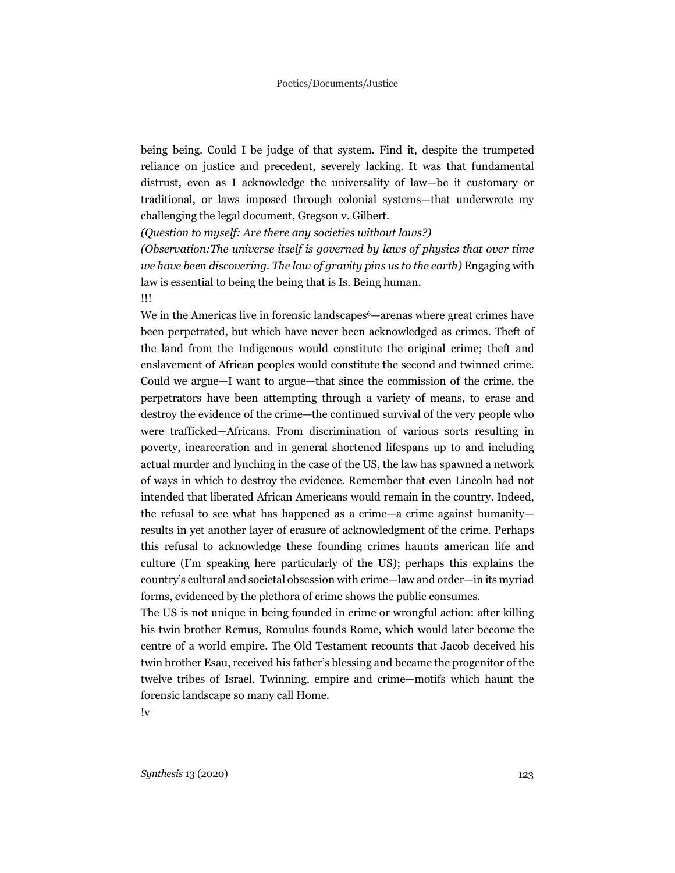being being. Could I be judge of that system. Find it, despite the trumpeted reliance on justice and precedent, severely lacking. It was that fundamental distrust, even as I acknowledge the universality of law—be it customary or traditional, or laws imposed through colonial systems—that underwrote my challenging the legal document, Gregson v. Gilbert.

*(Question to myself: Are there any societies without laws?)*

*(Observation:The universe itself is governed by laws of physics that over time we have been discovering. The law of gravity pins us to the earth)* Engaging with law is essential to being the being that is Is. Being human.

!!!

We in the Americas live in forensic landscapes<sup>6</sup>—arenas where great crimes have been perpetrated, but which have never been acknowledged as crimes. Theft of the land from the Indigenous would constitute the original crime; theft and enslavement of African peoples would constitute the second and twinned crime. Could we argue—I want to argue—that since the commission of the crime, the perpetrators have been attempting through a variety of means, to erase and destroy the evidence of the crime—the continued survival of the very people who were trafficked—Africans. From discrimination of various sorts resulting in poverty, incarceration and in general shortened lifespans up to and including actual murder and lynching in the case of the US, the law has spawned a network of ways in which to destroy the evidence. Remember that even Lincoln had not intended that liberated African Americans would remain in the country. Indeed, the refusal to see what has happened as a crime—a crime against humanity results in yet another layer of erasure of acknowledgment of the crime. Perhaps this refusal to acknowledge these founding crimes haunts american life and culture (I'm speaking here particularly of the US); perhaps this explains the country's cultural and societal obsession with crime—law and order—in its myriad forms, evidenced by the plethora of crime shows the public consumes.

The US is not unique in being founded in crime or wrongful action: after killing his twin brother Remus, Romulus founds Rome, which would later become the centre of a world empire. The Old Testament recounts that Jacob deceived his twin brother Esau, received his father's blessing and became the progenitor of the twelve tribes of Israel. Twinning, empire and crime—motifs which haunt the forensic landscape so many call Home.

!v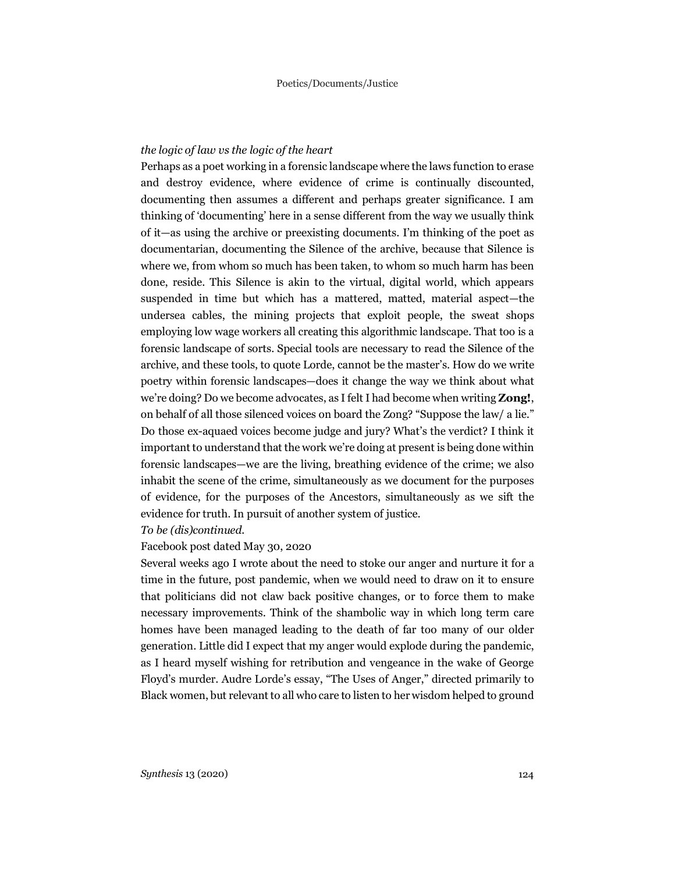#### *the logic of law vs the logic of the heart*

Perhaps as a poet working in a forensic landscape where the laws function to erase and destroy evidence, where evidence of crime is continually discounted, documenting then assumes a different and perhaps greater significance. I am thinking of 'documenting' here in a sense different from the way we usually think of it—as using the archive or preexisting documents. I'm thinking of the poet as documentarian, documenting the Silence of the archive, because that Silence is where we, from whom so much has been taken, to whom so much harm has been done, reside. This Silence is akin to the virtual, digital world, which appears suspended in time but which has a mattered, matted, material aspect—the undersea cables, the mining projects that exploit people, the sweat shops employing low wage workers all creating this algorithmic landscape. That too is a forensic landscape of sorts. Special tools are necessary to read the Silence of the archive, and these tools, to quote Lorde, cannot be the master's. How do we write poetry within forensic landscapes—does it change the way we think about what we're doing? Do we become advocates, as Ifelt I had become when writing **Zong!**, on behalf of all those silenced voices on board the Zong? "Suppose the law/ a lie." Do those ex-aquaed voices become judge and jury? What's the verdict? I think it important to understand that the work we're doing at present is being done within forensic landscapes—we are the living, breathing evidence of the crime; we also inhabit the scene of the crime, simultaneously as we document for the purposes of evidence, for the purposes of the Ancestors, simultaneously as we sift the evidence for truth. In pursuit of another system of justice.

#### *To be (dis)continued.*

#### Facebook post dated May 30, 2020

Several weeks ago I wrote about the need to stoke our anger and nurture it for a time in the future, post pandemic, when we would need to draw on it to ensure that politicians did not claw back positive changes, or to force them to make necessary improvements. Think of the shambolic way in which long term care homes have been managed leading to the death of far too many of our older generation. Little did I expect that my anger would explode during the pandemic, as I heard myself wishing for retribution and vengeance in the wake of George Floyd's murder. Audre Lorde's essay, "The Uses of Anger," directed primarily to Black women, but relevant to all who care to listen to her wisdom helped to ground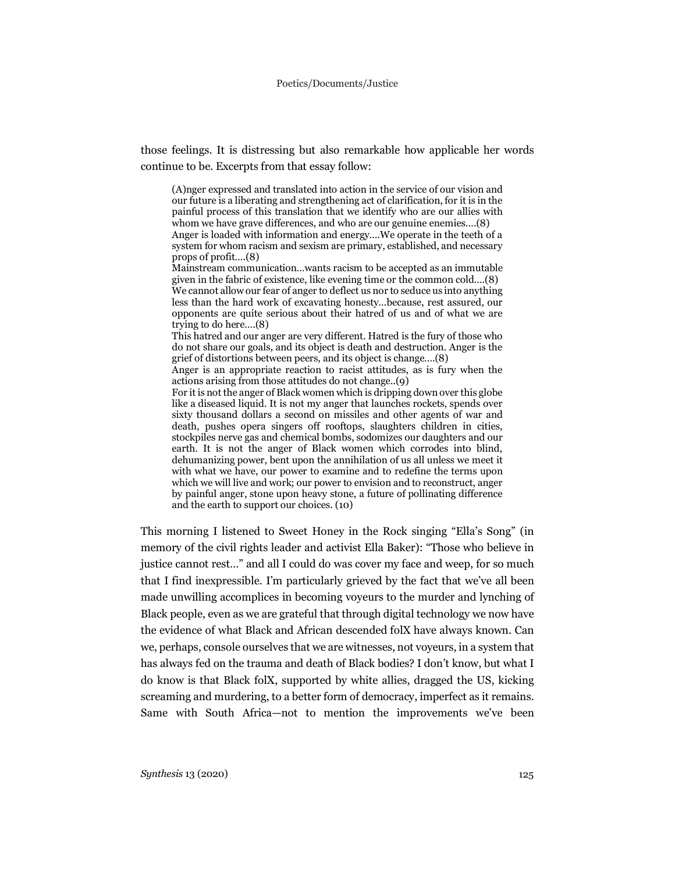those feelings. It is distressing but also remarkable how applicable her words continue to be. Excerpts from that essay follow:

(A)nger expressed and translated into action in the service of our vision and our future is a liberating and strengthening act of clarification, for it is in the painful process of this translation that we identify who are our allies with whom we have grave differences, and who are our genuine enemies….(8) Anger is loaded with information and energy….We operate in the teeth of a system for whom racism and sexism are primary, established, and necessary props of profit….(8)

Mainstream communication…wants racism to be accepted as an immutable given in the fabric of existence, like evening time or the common cold….(8) We cannot allow our fear of anger to deflect us nor to seduce us into anything less than the hard work of excavating honesty…because, rest assured, our opponents are quite serious about their hatred of us and of what we are trying to do here….(8)

This hatred and our anger are very different. Hatred is the fury of those who do not share our goals, and its object is death and destruction. Anger is the grief of distortions between peers, and its object is change….(8)

Anger is an appropriate reaction to racist attitudes, as is fury when the actions arising from those attitudes do not change..(9)

For it is not the anger of Black women which is dripping downover this globe like a diseased liquid. It is not my anger that launches rockets, spends over sixty thousand dollars a second on missiles and other agents of war and death, pushes opera singers off rooftops, slaughters children in cities, stockpiles nerve gas and chemical bombs, sodomizes our daughters and our earth. It is not the anger of Black women which corrodes into blind, dehumanizing power, bent upon the annihilation of us all unless we meet it with what we have, our power to examine and to redefine the terms upon which we will live and work; our power to envision and to reconstruct, anger by painful anger, stone upon heavy stone, a future of pollinating difference and the earth to support our choices. (10)

This morning I listened to Sweet Honey in the Rock singing "Ella's Song" (in memory of the civil rights leader and activist Ella Baker): "Those who believe in justice cannot rest…" and all I could do was cover my face and weep, for so much that I find inexpressible. I'm particularly grieved by the fact that we've all been made unwilling accomplices in becoming voyeurs to the murder and lynching of Black people, even as we are grateful that through digital technology we now have the evidence of what Black and African descended folX have always known. Can we, perhaps, console ourselves that we are witnesses, not voyeurs, in a system that has always fed on the trauma and death of Black bodies? I don't know, but what I do know is that Black folX, supported by white allies, dragged the US, kicking screaming and murdering, to a better form of democracy, imperfect as it remains. Same with South Africa—not to mention the improvements we've been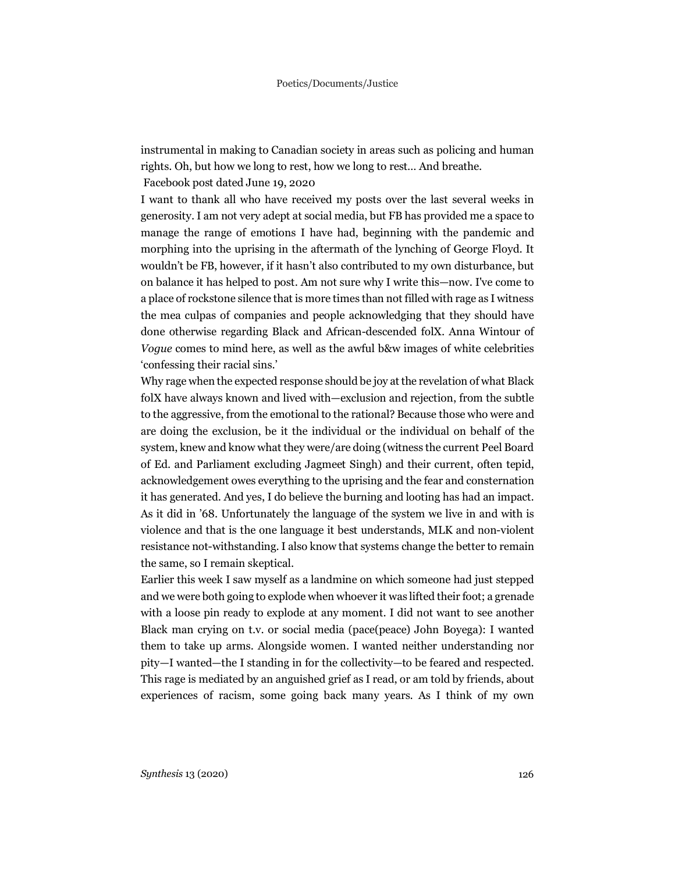instrumental in making to Canadian society in areas such as policing and human rights. Oh, but how we long to rest, how we long to rest… And breathe.

Facebook post dated June 19, 2020

I want to thank all who have received my posts over the last several weeks in generosity. I am not very adept at social media, but FB has provided me a space to manage the range of emotions I have had, beginning with the pandemic and morphing into the uprising in the aftermath of the lynching of George Floyd. It wouldn't be FB, however, if it hasn't also contributed to my own disturbance, but on balance it has helped to post. Am not sure why I write this—now. I've come to a place of rockstone silence that is more times than not filled with rage as I witness the mea culpas of companies and people acknowledging that they should have done otherwise regarding Black and African-descended folX. Anna Wintour of *Vogue* comes to mind here, as well as the awful b&w images of white celebrities 'confessing their racial sins.'

Why rage when the expected response should be joy at the revelation of what Black folX have always known and lived with—exclusion and rejection, from the subtle to the aggressive, from the emotional to the rational? Because those who were and are doing the exclusion, be it the individual or the individual on behalf of the system, knew and know what they were/are doing (witness the current Peel Board of Ed. and Parliament excluding Jagmeet Singh) and their current, often tepid, acknowledgement owes everything to the uprising and the fear and consternation it has generated. And yes, I do believe the burning and looting has had an impact. As it did in '68. Unfortunately the language of the system we live in and with is violence and that is the one language it best understands, MLK and non-violent resistance not-withstanding. I also know that systems change the better to remain the same, so I remain skeptical.

Earlier this week I saw myself as a landmine on which someone had just stepped and we were both going to explode when whoever it was lifted their foot; a grenade with a loose pin ready to explode at any moment. I did not want to see another Black man crying on t.v. or social media (pace(peace) John Boyega): I wanted them to take up arms. Alongside women. I wanted neither understanding nor pity—I wanted—the I standing in for the collectivity—to be feared and respected. This rage is mediated by an anguished grief as I read, or am told by friends, about experiences of racism, some going back many years. As I think of my own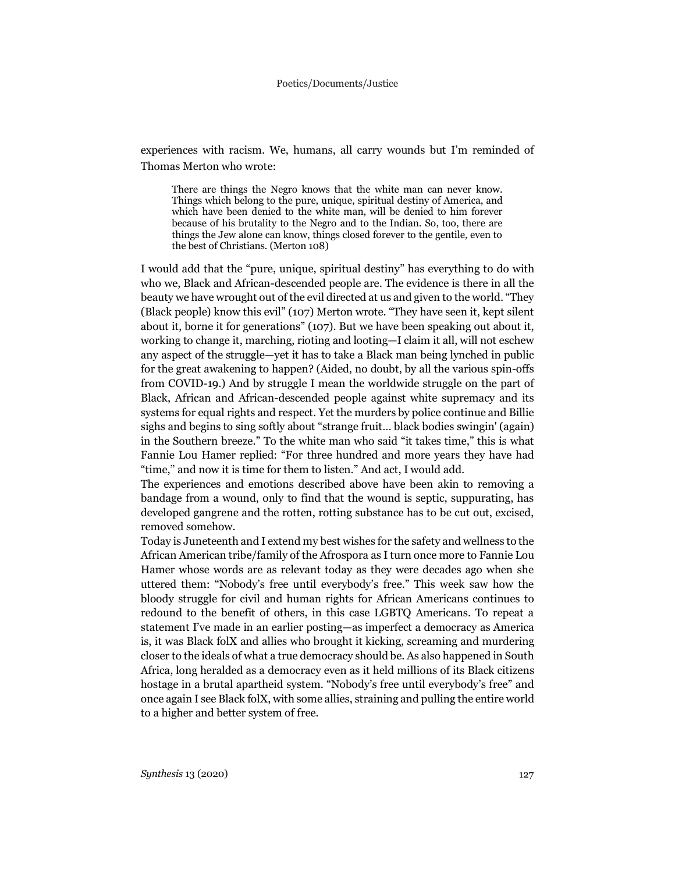experiences with racism. We, humans, all carry wounds but I'm reminded of Thomas Merton who wrote:

There are things the Negro knows that the white man can never know. Things which belong to the pure, unique, spiritual destiny of America, and which have been denied to the white man, will be denied to him forever because of his brutality to the Negro and to the Indian. So, too, there are things the Jew alone can know, things closed forever to the gentile, even to the best of Christians. (Merton 108)

I would add that the "pure, unique, spiritual destiny" has everything to do with who we, Black and African-descended people are. The evidence is there in all the beauty we have wrought out of the evil directed at us and given to the world. "They (Black people) know this evil" (107) Merton wrote. "They have seen it, kept silent about it, borne it for generations" (107). But we have been speaking out about it, working to change it, marching, rioting and looting—I claim it all, will not eschew any aspect of the struggle—yet it has to take a Black man being lynched in public for the great awakening to happen? (Aided, no doubt, by all the various spin-offs from COVID-19.) And by struggle I mean the worldwide struggle on the part of Black, African and African-descended people against white supremacy and its systems for equal rights and respect. Yet the murders by police continue and Billie sighs and begins to sing softly about "strange fruit… black bodies swingin' (again) in the Southern breeze." To the white man who said "it takes time," this is what Fannie Lou Hamer replied: "For three hundred and more years they have had "time," and now it is time for them to listen." And act, I would add.

The experiences and emotions described above have been akin to removing a bandage from a wound, only to find that the wound is septic, suppurating, has developed gangrene and the rotten, rotting substance has to be cut out, excised, removed somehow.

Today is Juneteenth and I extend my best wishes for the safety and wellness to the African American tribe/family of the Afrospora as I turn once more to Fannie Lou Hamer whose words are as relevant today as they were decades ago when she uttered them: "Nobody's free until everybody's free." This week saw how the bloody struggle for civil and human rights for African Americans continues to redound to the benefit of others, in this case LGBTQ Americans. To repeat a statement I've made in an earlier posting—as imperfect a democracy as America is, it was Black folX and allies who brought it kicking, screaming and murdering closer to the ideals of what a true democracy should be. As also happened in South Africa, long heralded as a democracy even as it held millions of its Black citizens hostage in a brutal apartheid system. "Nobody's free until everybody's free" and once again I see Black folX, with some allies, straining and pulling the entire world to a higher and better system of free.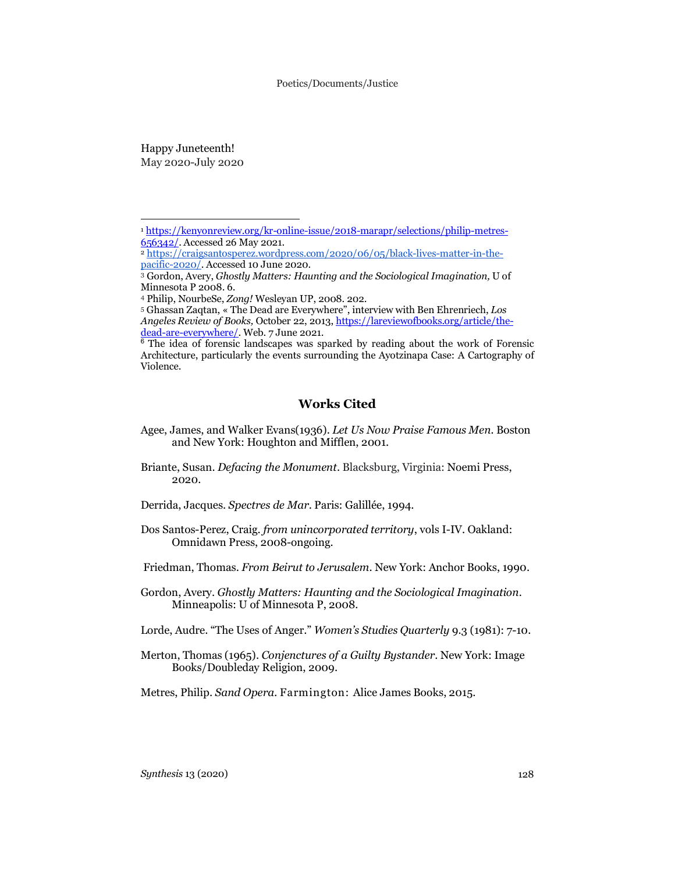Happy Juneteenth! May 2020-July 2020

 $\overline{a}$ 

### **Works Cited**

- Agee, James, and Walker Evans(1936). *Let Us Now Praise Famous Men.* Boston and New York: Houghton and Mifflen, 2001.
- Briante, Susan. *Defacing the Monument*. Blacksburg, Virginia: Noemi Press, 2020.
- Derrida, Jacques. *Spectres de Mar*. Paris: Galillée, 1994.
- Dos Santos-Perez, Craig. *from unincorporated territory*, vols I-IV. Oakland: Omnidawn Press, 2008-ongoing.
- Friedman, Thomas. *From Beirut to Jerusalem*. New York: Anchor Books, 1990.
- Gordon, Avery. *Ghostly Matters: Haunting and the Sociological Imagination*. Minneapolis: U of Minnesota P, 2008.
- Lorde, Audre. "The Uses of Anger." *Women's Studies Quarterly* 9.3 (1981): 7-10.
- Merton, Thomas (1965). *Conjenctures of a Guilty Bystander*. New York: Image Books/Doubleday Religion, 2009.

Metres, Philip. *Sand Opera.* Farmington: Alice James Books, 2015.

<sup>1</sup> https://kenyonreview.org/kr-online-issue/2018-marapr/selections/philip-metres-656342/. Accessed 26 May 2021.

<sup>2</sup> https://craigsantosperez.wordpress.com/2020/06/05/black-lives-matter-in-thepacific-2020/. Accessed 10 June 2020.

<sup>3</sup> Gordon, Avery, *Ghostly Matters: Haunting and the Sociological Imagination,* U of Minnesota P 2008. 6.

<sup>4</sup> Philip, NourbeSe, *Zong!* Wesleyan UP, 2008. 202.

<sup>5</sup> Ghassan Zaqtan, « The Dead are Everywhere", interview with Ben Ehrenriech, *Los Angeles Review of Books,* October 22, 2013, https://lareviewofbooks.org/article/thedead-are-everywhere/. Web. 7 June 2021.

<sup>&</sup>lt;sup>6</sup> The idea of forensic landscapes was sparked by reading about the work of Forensic Architecture, particularly the events surrounding the Ayotzinapa Case: A Cartography of Violence.